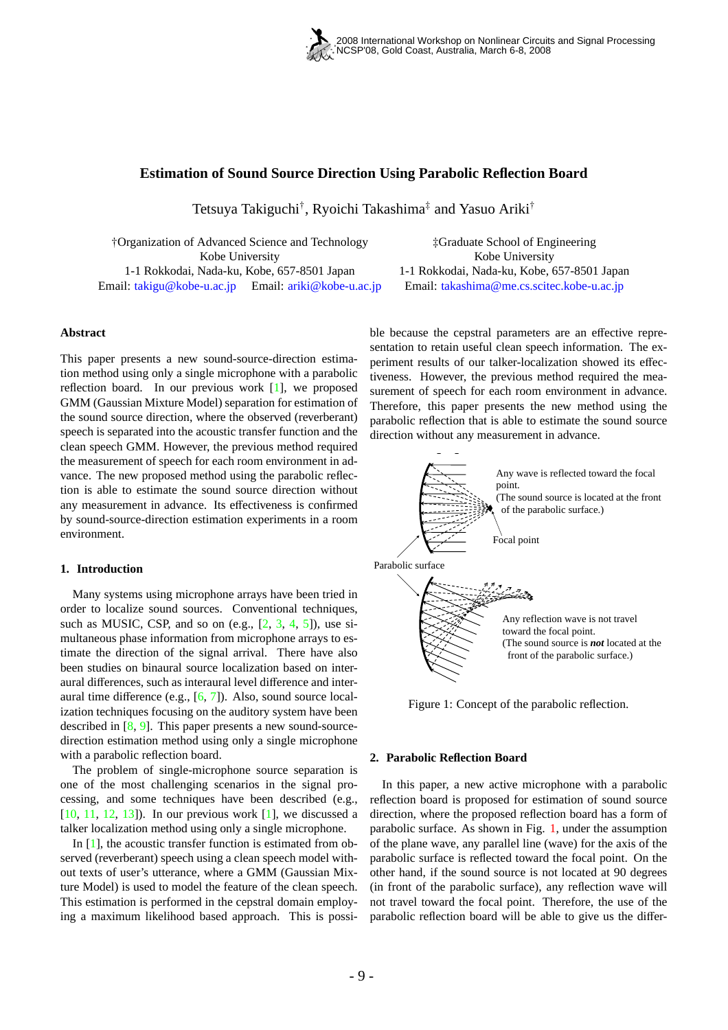

# **Estimation of Sound Source Direction Using Parabolic Reflection Board**

Tetsuya Takiguchi† , Ryoichi Takashima‡ and Yasuo Ariki†

†Organization of Advanced Science and Technology Kobe University 1-1 Rokkodai, Nada-ku, Kobe, 657-8501 Japan Email: takigu@kobe-u.ac.jp Email: ariki@kobe-u.ac.jp

‡Graduate School of Engineering Kobe University 1-1 Rokkodai, Nada-ku, Kobe, 657-8501 Japan Email: takashima@me.cs.scitec.kobe-u.ac.jp

# **Abstract**

This paper presents a new sound-source-direction estimation method using only a single microphone with a parabolic reflection board. In our previous work [1], we proposed GMM (Gaussian Mixture Model) separation for estimation of the sound source direction, where the observed (reverberant) speech is separated into the acoustic transfer function and the clean speech GMM. However, the previous method required the measurement of speech for each room environment in advance. The new proposed method using the parabolic reflection is able to estimate the sound source direction without any measurement in advance. Its effectiveness is confirmed by sound-source-direction estimation experiments in a room environment.

# **1. Introduction**

Many systems using microphone arrays have been tried in order to localize sound sources. Conventional techniques, such as MUSIC, CSP, and so on  $(e.g., [2, 3, 4, 5])$ , use simultaneous phase information from microphone arrays to estimate the direction of the signal arrival. There have also been studies on binaural source localization based on interaural differences, such as interaural level difference and interaural time difference (e.g., [6, 7]). Also, sound source localization techniques focusing on the auditory system have been described in [8, 9]. This paper presents a new sound-sourcedirection estimation method using only a single microphone with a parabolic reflection board.

The problem of single-microphone source separation is one of the most challenging scenarios in the signal processing, and some techniques have been described (e.g.,  $[10, 11, 12, 13]$ . In our previous work  $[1]$ , we discussed a talker localization method using only a single microphone.

In  $[1]$ , the acoustic transfer function is estimated from observed (reverberant) speech using a clean speech model without texts of user's utterance, where a GMM (Gaussian Mixture Model) is used to model the feature of the clean speech. This estimation is performed in the cepstral domain employing a maximum likelihood based approach. This is possible because the cepstral parameters are an effective representation to retain useful clean speech information. The experiment results of our talker-localization showed its effectiveness. However, the previous method required the measurement of speech for each room environment in advance. Therefore, this paper presents the new method using the parabolic reflection that is able to estimate the sound source direction without any measurement in advance.



Figure 1: Concept of the parabolic reflection.

#### **2. Parabolic Reflection Board**

In this paper, a new active microphone with a parabolic reflection board is proposed for estimation of sound source direction, where the proposed reflection board has a form of parabolic surface. As shown in Fig. 1, under the assumption of the plane wave, any parallel line (wave) for the axis of the parabolic surface is reflected toward the focal point. On the other hand, if the sound source is not located at 90 degrees (in front of the parabolic surface), any reflection wave will not travel toward the focal point. Therefore, the use of the parabolic reflection board will be able to give us the differ-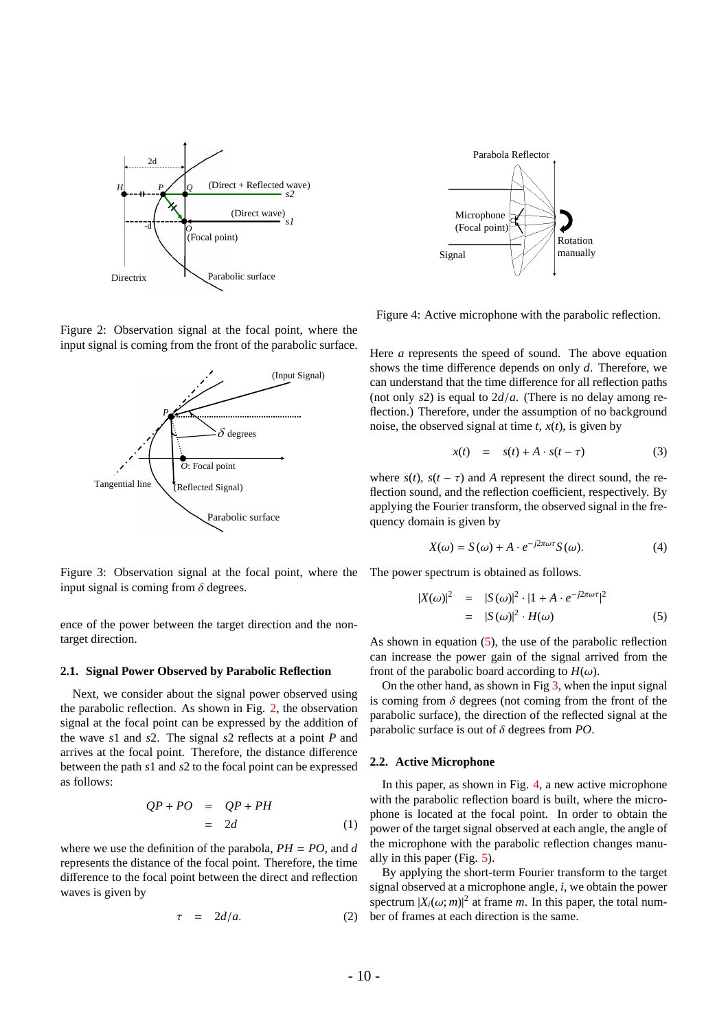

Figure 2: Observation signal at the focal point, where the input signal is coming from the front of the parabolic surface.



Figure 3: Observation signal at the focal point, where the input signal is coming from  $\delta$  degrees.

ence of the power between the target direction and the nontarget direction.

#### **2.1. Signal Power Observed by Parabolic Reflection**

Next, we consider about the signal power observed using the parabolic reflection. As shown in Fig. 2, the observation signal at the focal point can be expressed by the addition of the wave *s*1 and *s*2. The signal *s*2 reflects at a point *P* and arrives at the focal point. Therefore, the distance difference between the path *s*1 and *s*2 to the focal point can be expressed as follows:

$$
QP + PO = QP + PH
$$
  
= 2d (1)

where we use the definition of the parabola,  $PH = PO$ , and *d* represents the distance of the focal point. Therefore, the time difference to the focal point between the direct and reflection waves is given by

$$
\tau = 2d/a. \tag{2}
$$



Figure 4: Active microphone with the parabolic reflection.

Here *a* represents the speed of sound. The above equation shows the time difference depends on only *d*. Therefore, we can understand that the time difference for all reflection paths (not only *s*2) is equal to 2*d*/*a*. (There is no delay among reflection.) Therefore, under the assumption of no background noise, the observed signal at time  $t$ ,  $x(t)$ , is given by

$$
x(t) = s(t) + A \cdot s(t - \tau) \tag{3}
$$

where  $s(t)$ ,  $s(t - \tau)$  and *A* represent the direct sound, the reflection sound, and the reflection coefficient, respectively. By applying the Fourier transform, the observed signal in the frequency domain is given by

$$
X(\omega) = S(\omega) + A \cdot e^{-j2\pi\omega\tau} S(\omega).
$$
 (4)

The power spectrum is obtained as follows.

$$
|X(\omega)|^2 = |S(\omega)|^2 \cdot |1 + A \cdot e^{-j2\pi\omega\tau}|^2
$$
  
=  $|S(\omega)|^2 \cdot H(\omega)$  (5)

As shown in equation (5), the use of the parabolic reflection can increase the power gain of the signal arrived from the front of the parabolic board according to  $H(\omega)$ .

On the other hand, as shown in Fig  $3$ , when the input signal is coming from  $\delta$  degrees (not coming from the front of the parabolic surface), the direction of the reflected signal at the parabolic surface is out of δ degrees from *PO*.

### **2.2. Active Microphone**

In this paper, as shown in Fig. 4, a new active microphone with the parabolic reflection board is built, where the microphone is located at the focal point. In order to obtain the power of the target signal observed at each angle, the angle of the microphone with the parabolic reflection changes manually in this paper (Fig. 5).

By applying the short-term Fourier transform to the target signal observed at a microphone angle, *i*, we obtain the power spectrum  $|X_i(\omega; m)|^2$  at frame *m*. In this paper, the total number of frames at each direction is the same.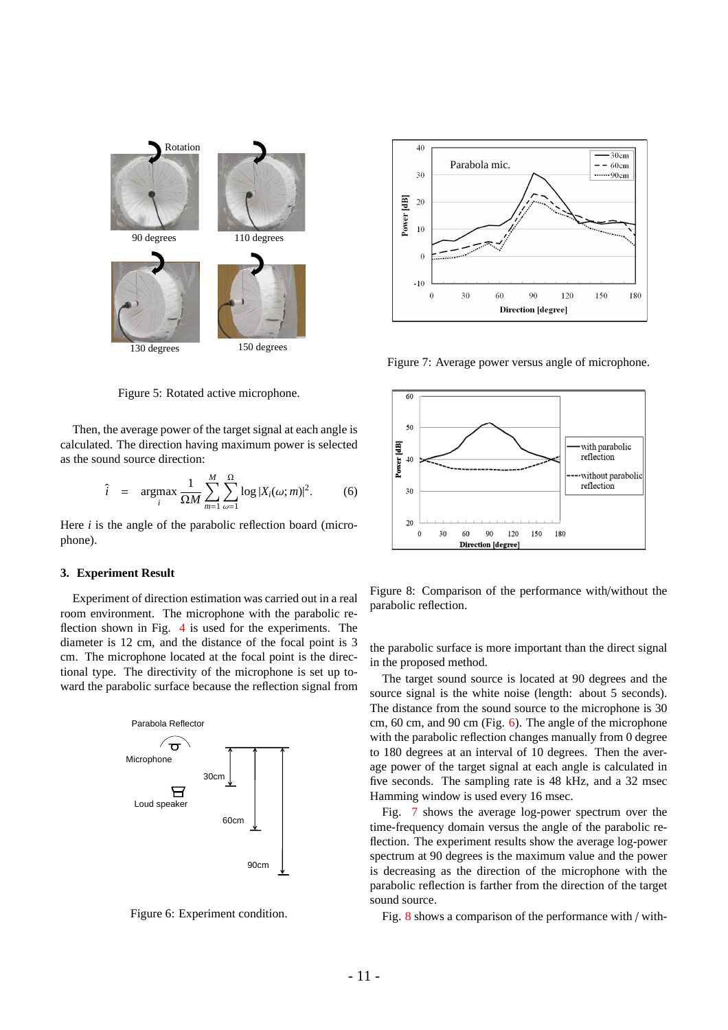



Figure 7: Average power versus angle of microphone.

with parabolic reflection

without parabolic reflection

 $\overline{60}$ 

50

<sup>10</sup>

 $\overline{\mathbf{3}}$ 

 $20$ 

 $\Omega$  $30$  60

 $Q<sub>0</sub>$  $120$ 150

**Direction** [degree]

Power [dB]

Figure 5: Rotated active microphone.

Then, the average power of the target signal at each angle is calculated. The direction having maximum power is selected as the sound source direction:

$$
\hat{i} = \operatorname*{argmax}_{i} \frac{1}{\Omega M} \sum_{m=1}^{M} \sum_{\omega=1}^{\Omega} \log |X_i(\omega; m)|^2.
$$
 (6)

Here *i* is the angle of the parabolic reflection board (microphone).

### **3. Experiment Result**

Experiment of direction estimation was carried out in a real room environment. The microphone with the parabolic reflection shown in Fig. 4 is used for the experiments. The diameter is 12 cm, and the distance of the focal point is 3 cm. The microphone located at the focal point is the directional type. The directivity of the microphone is set up toward the parabolic surface because the reflection signal from





Figure 8: Comparison of the performance with/without the parabolic reflection.

180

the parabolic surface is more important than the direct signal in the proposed method.

The target sound source is located at 90 degrees and the source signal is the white noise (length: about 5 seconds). The distance from the sound source to the microphone is 30 cm, 60 cm, and 90 cm (Fig. 6). The angle of the microphone with the parabolic reflection changes manually from 0 degree to 180 degrees at an interval of 10 degrees. Then the average power of the target signal at each angle is calculated in five seconds. The sampling rate is 48 kHz, and a 32 msec Hamming window is used every 16 msec.

Fig. 7 shows the average log-power spectrum over the time-frequency domain versus the angle of the parabolic reflection. The experiment results show the average log-power spectrum at 90 degrees is the maximum value and the power is decreasing as the direction of the microphone with the parabolic reflection is farther from the direction of the target sound source.

Fig. 8 shows a comparison of the performance with / with-